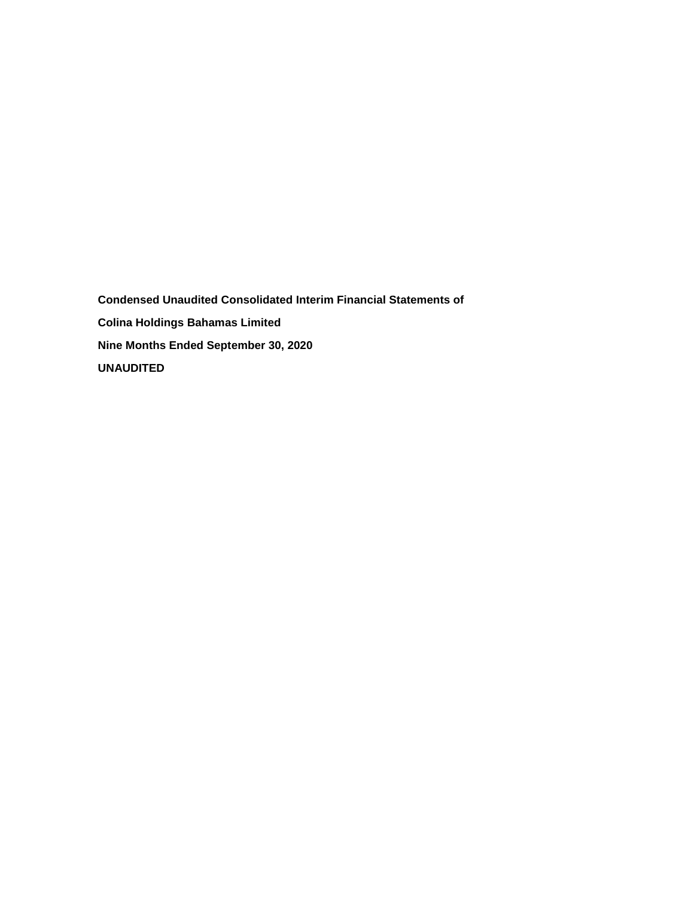**Condensed Unaudited Consolidated Interim Financial Statements of Colina Holdings Bahamas Limited Nine Months Ended September 30, 2020 UNAUDITED**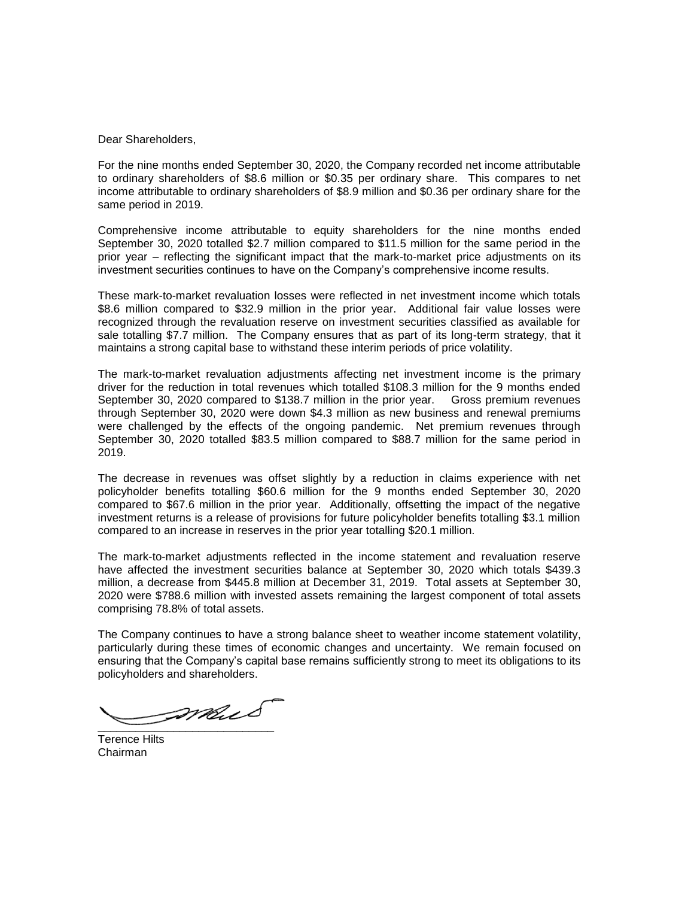Dear Shareholders,

For the nine months ended September 30, 2020, the Company recorded net income attributable to ordinary shareholders of \$8.6 million or \$0.35 per ordinary share. This compares to net income attributable to ordinary shareholders of \$8.9 million and \$0.36 per ordinary share for the same period in 2019.

Comprehensive income attributable to equity shareholders for the nine months ended September 30, 2020 totalled \$2.7 million compared to \$11.5 million for the same period in the prior year – reflecting the significant impact that the mark-to-market price adjustments on its investment securities continues to have on the Company's comprehensive income results.

These mark-to-market revaluation losses were reflected in net investment income which totals \$8.6 million compared to \$32.9 million in the prior year. Additional fair value losses were recognized through the revaluation reserve on investment securities classified as available for sale totalling \$7.7 million. The Company ensures that as part of its long-term strategy, that it maintains a strong capital base to withstand these interim periods of price volatility.

The mark-to-market revaluation adjustments affecting net investment income is the primary driver for the reduction in total revenues which totalled \$108.3 million for the 9 months ended September 30, 2020 compared to \$138.7 million in the prior year. Gross premium revenues through September 30, 2020 were down \$4.3 million as new business and renewal premiums were challenged by the effects of the ongoing pandemic. Net premium revenues through September 30, 2020 totalled \$83.5 million compared to \$88.7 million for the same period in 2019.

The decrease in revenues was offset slightly by a reduction in claims experience with net policyholder benefits totalling \$60.6 million for the 9 months ended September 30, 2020 compared to \$67.6 million in the prior year. Additionally, offsetting the impact of the negative investment returns is a release of provisions for future policyholder benefits totalling \$3.1 million compared to an increase in reserves in the prior year totalling \$20.1 million.

The mark-to-market adjustments reflected in the income statement and revaluation reserve have affected the investment securities balance at September 30, 2020 which totals \$439.3 million, a decrease from \$445.8 million at December 31, 2019. Total assets at September 30, 2020 were \$788.6 million with invested assets remaining the largest component of total assets comprising 78.8% of total assets.

The Company continues to have a strong balance sheet to weather income statement volatility, particularly during these times of economic changes and uncertainty. We remain focused on ensuring that the Company's capital base remains sufficiently strong to meet its obligations to its policyholders and shareholders.

 $\overbrace{\phantom{aaaaaaa}}$ 

Terence Hilts Chairman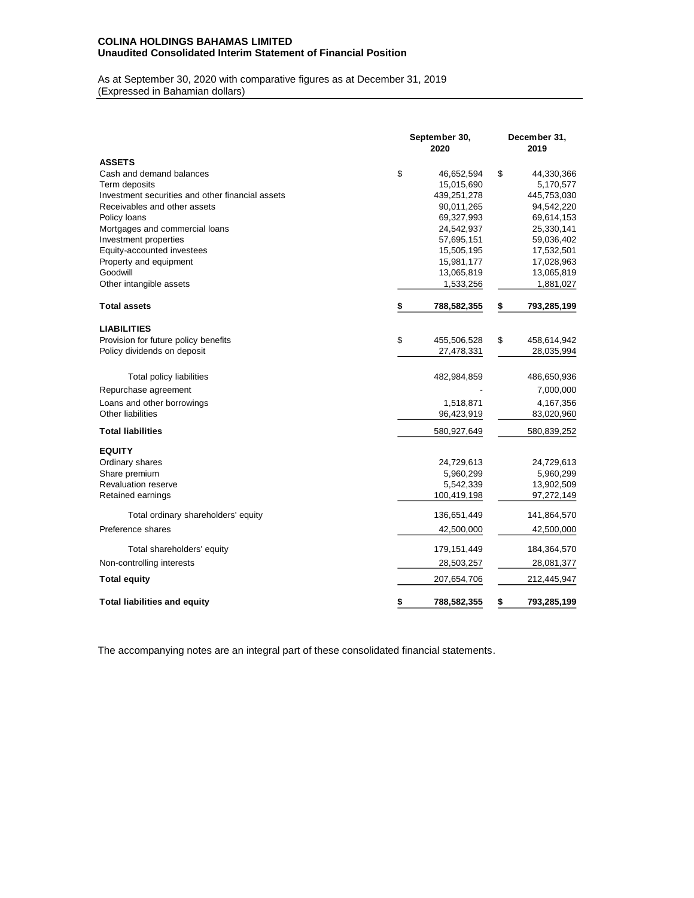### **COLINA HOLDINGS BAHAMAS LIMITED Unaudited Consolidated Interim Statement of Financial Position**

As at September 30, 2020 with comparative figures as at December 31, 2019 (Expressed in Bahamian dollars)

|                                                  | September 30,<br>2020 |             | December 31,<br>2019 |
|--------------------------------------------------|-----------------------|-------------|----------------------|
| <b>ASSETS</b>                                    |                       |             |                      |
| Cash and demand balances                         | \$                    | 46,652,594  | \$<br>44,330,366     |
| Term deposits                                    |                       | 15,015,690  | 5,170,577            |
| Investment securities and other financial assets |                       | 439,251,278 | 445,753,030          |
| Receivables and other assets                     |                       | 90,011,265  | 94,542,220           |
| Policy loans                                     |                       | 69,327,993  | 69,614,153           |
| Mortgages and commercial loans                   |                       | 24,542,937  | 25,330,141           |
| Investment properties                            |                       | 57,695,151  | 59,036,402           |
| Equity-accounted investees                       |                       | 15,505,195  | 17,532,501           |
| Property and equipment                           |                       | 15,981,177  | 17,028,963           |
| Goodwill                                         |                       | 13,065,819  | 13,065,819           |
| Other intangible assets                          |                       | 1,533,256   | 1,881,027            |
| <b>Total assets</b>                              | \$                    | 788,582,355 | \$<br>793,285,199    |
| <b>LIABILITIES</b>                               |                       |             |                      |
| Provision for future policy benefits             | \$                    | 455,506,528 | \$<br>458,614,942    |
| Policy dividends on deposit                      |                       | 27,478,331  | 28,035,994           |
| Total policy liabilities                         |                       | 482,984,859 | 486,650,936          |
| Repurchase agreement                             |                       |             | 7,000,000            |
| Loans and other borrowings                       |                       | 1,518,871   | 4,167,356            |
| Other liabilities                                |                       | 96,423,919  |                      |
|                                                  |                       |             | 83,020,960           |
| <b>Total liabilities</b>                         |                       | 580,927,649 | 580,839,252          |
| <b>EQUITY</b>                                    |                       |             |                      |
| Ordinary shares                                  |                       | 24,729,613  | 24,729,613           |
| Share premium                                    |                       | 5,960,299   | 5,960,299            |
| <b>Revaluation reserve</b>                       |                       | 5,542,339   | 13,902,509           |
| Retained earnings                                |                       | 100,419,198 | 97,272,149           |
| Total ordinary shareholders' equity              |                       | 136,651,449 | 141,864,570          |
| Preference shares                                |                       | 42,500,000  | 42,500,000           |
| Total shareholders' equity                       |                       | 179,151,449 | 184,364,570          |
| Non-controlling interests                        |                       | 28,503,257  | 28,081,377           |
| <b>Total equity</b>                              |                       | 207,654,706 | 212,445,947          |
| <b>Total liabilities and equity</b>              | \$                    | 788,582,355 | \$<br>793,285,199    |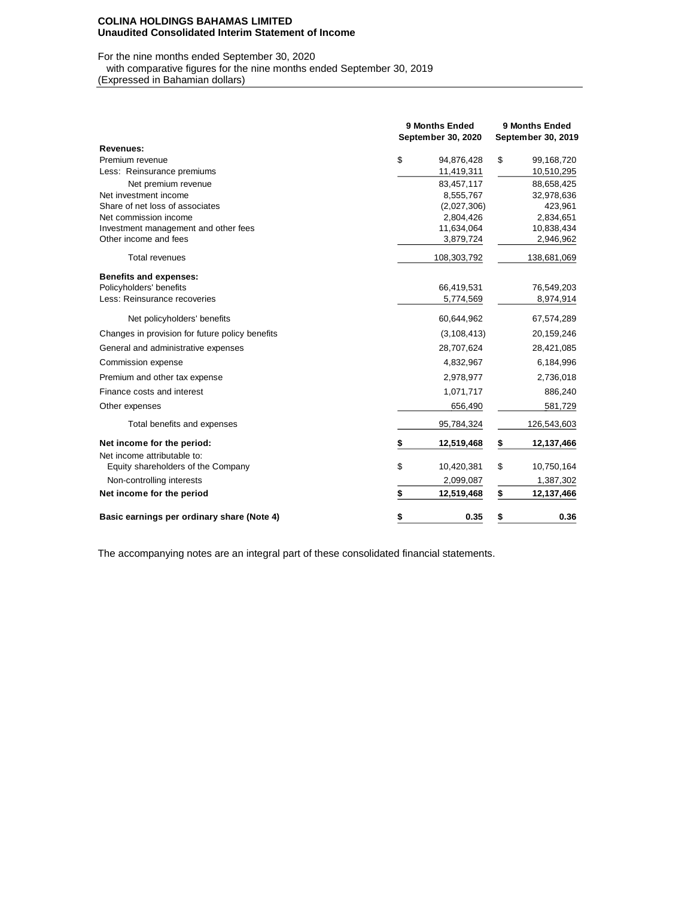#### **COLINA HOLDINGS BAHAMAS LIMITED Unaudited Consolidated Interim Statement of Income**

# For the nine months ended September 30, 2020

with comparative figures for the nine months ended September 30, 2019

(Expressed in Bahamian dollars)

|                                                 | 9 Months Ended<br>September 30, 2020 | 9 Months Ended<br>September 30, 2019 |
|-------------------------------------------------|--------------------------------------|--------------------------------------|
| Revenues:                                       |                                      |                                      |
| Premium revenue                                 | \$<br>94,876,428                     | \$<br>99,168,720                     |
| Less: Reinsurance premiums                      | 11,419,311                           | 10,510,295                           |
| Net premium revenue                             | 83,457,117                           | 88,658,425                           |
| Net investment income                           | 8,555,767                            | 32,978,636                           |
| Share of net loss of associates                 | (2,027,306)                          | 423,961                              |
| Net commission income                           | 2,804,426                            | 2,834,651                            |
| Investment management and other fees            | 11,634,064                           | 10,838,434                           |
| Other income and fees                           | 3,879,724                            | 2,946,962                            |
| <b>Total revenues</b>                           | 108,303,792                          | 138,681,069                          |
| <b>Benefits and expenses:</b>                   |                                      |                                      |
| Policyholders' benefits                         | 66,419,531                           | 76,549,203                           |
| Less: Reinsurance recoveries                    | 5,774,569                            | 8,974,914                            |
| Net policyholders' benefits                     | 60,644,962                           | 67,574,289                           |
| Changes in provision for future policy benefits | (3, 108, 413)                        | 20,159,246                           |
| General and administrative expenses             | 28,707,624                           | 28,421,085                           |
| Commission expense                              | 4,832,967                            | 6,184,996                            |
| Premium and other tax expense                   | 2,978,977                            | 2,736,018                            |
| Finance costs and interest                      | 1,071,717                            | 886,240                              |
| Other expenses                                  | 656,490                              | 581,729                              |
| Total benefits and expenses                     | 95,784,324                           | 126,543,603                          |
| Net income for the period:                      | 12,519,468<br>S                      | \$<br>12,137,466                     |
| Net income attributable to:                     |                                      |                                      |
| Equity shareholders of the Company              | \$<br>10,420,381                     | \$<br>10,750,164                     |
| Non-controlling interests                       | 2,099,087                            | 1,387,302                            |
| Net income for the period                       | \$<br>12,519,468                     | \$<br>12,137,466                     |
| Basic earnings per ordinary share (Note 4)      | \$<br>0.35                           | \$<br>0.36                           |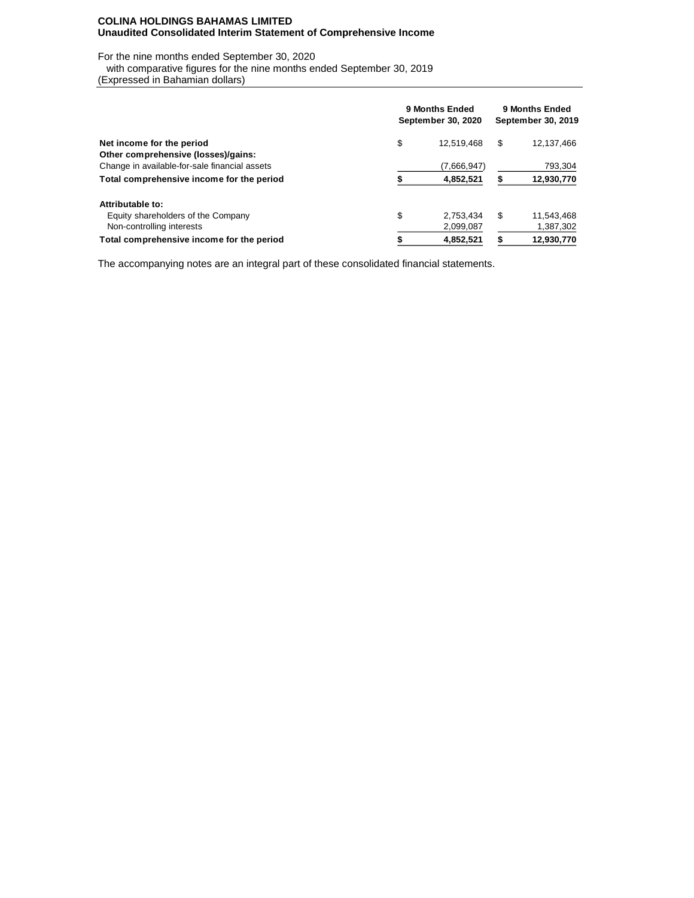### **COLINA HOLDINGS BAHAMAS LIMITED Unaudited Consolidated Interim Statement of Comprehensive Income**

For the nine months ended September 30, 2020

with comparative figures for the nine months ended September 30, 2019

(Expressed in Bahamian dollars)

|                                               | 9 Months Ended<br>September 30, 2020 |             |    | 9 Months Ended<br>September 30, 2019 |  |  |  |
|-----------------------------------------------|--------------------------------------|-------------|----|--------------------------------------|--|--|--|
| Net income for the period                     | \$                                   | 12,519,468  | \$ | 12,137,466                           |  |  |  |
| Other comprehensive (losses)/gains:           |                                      |             |    |                                      |  |  |  |
| Change in available-for-sale financial assets |                                      | (7,666,947) |    | 793,304                              |  |  |  |
| Total comprehensive income for the period     |                                      | 4,852,521   |    | 12,930,770                           |  |  |  |
| Attributable to:                              |                                      |             |    |                                      |  |  |  |
| Equity shareholders of the Company            | \$                                   | 2.753.434   | \$ | 11,543,468                           |  |  |  |
| Non-controlling interests                     |                                      | 2,099,087   |    | 1,387,302                            |  |  |  |
| Total comprehensive income for the period     |                                      | 4.852.521   |    | 12.930.770                           |  |  |  |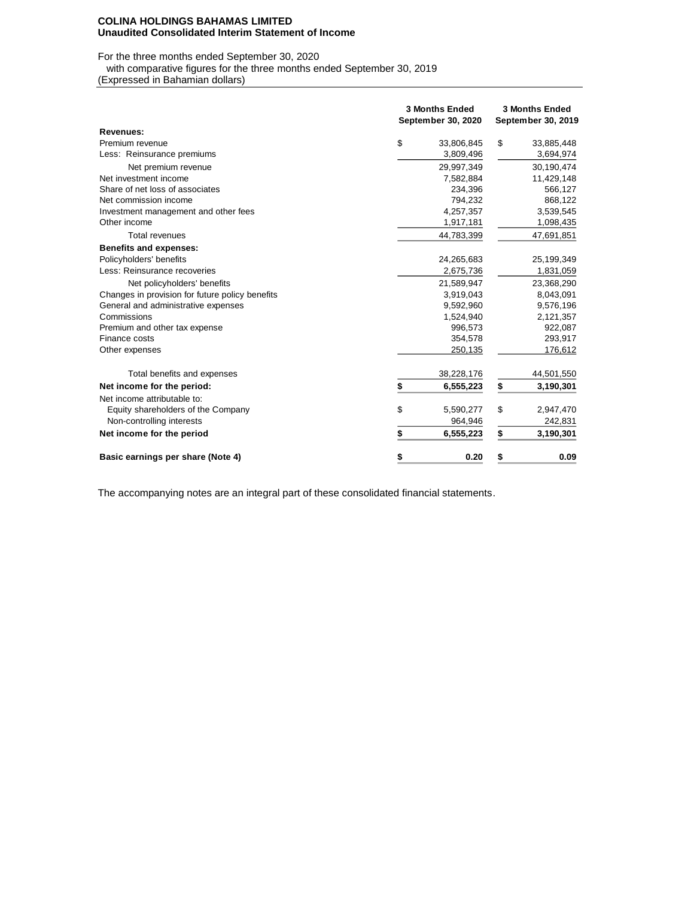#### **COLINA HOLDINGS BAHAMAS LIMITED Unaudited Consolidated Interim Statement of Income**

For the three months ended September 30, 2020

with comparative figures for the three months ended September 30, 2019

(Expressed in Bahamian dollars)

|                                                 | <b>3 Months Ended</b><br>September 30, 2020 |            |    | <b>3 Months Ended</b><br>September 30, 2019 |  |  |  |
|-------------------------------------------------|---------------------------------------------|------------|----|---------------------------------------------|--|--|--|
| <b>Revenues:</b>                                |                                             |            |    |                                             |  |  |  |
| Premium revenue                                 | \$                                          | 33,806,845 | \$ | 33,885,448                                  |  |  |  |
| Less: Reinsurance premiums                      |                                             | 3,809,496  |    | 3,694,974                                   |  |  |  |
| Net premium revenue                             |                                             | 29,997,349 |    | 30,190,474                                  |  |  |  |
| Net investment income                           |                                             | 7,582,884  |    | 11,429,148                                  |  |  |  |
| Share of net loss of associates                 |                                             | 234.396    |    | 566,127                                     |  |  |  |
| Net commission income                           |                                             | 794,232    |    | 868,122                                     |  |  |  |
| Investment management and other fees            |                                             | 4,257,357  |    | 3,539,545                                   |  |  |  |
| Other income                                    |                                             | 1,917,181  |    | 1,098,435                                   |  |  |  |
| <b>Total revenues</b>                           |                                             | 44,783,399 |    | 47,691,851                                  |  |  |  |
| <b>Benefits and expenses:</b>                   |                                             |            |    |                                             |  |  |  |
| Policyholders' benefits                         |                                             | 24,265,683 |    | 25,199,349                                  |  |  |  |
| Less: Reinsurance recoveries                    |                                             | 2,675,736  |    | 1,831,059                                   |  |  |  |
| Net policyholders' benefits                     |                                             | 21,589,947 |    | 23,368,290                                  |  |  |  |
| Changes in provision for future policy benefits |                                             | 3,919,043  |    | 8,043,091                                   |  |  |  |
| General and administrative expenses             |                                             | 9,592,960  |    | 9,576,196                                   |  |  |  |
| Commissions                                     |                                             | 1,524,940  |    | 2,121,357                                   |  |  |  |
| Premium and other tax expense                   |                                             | 996,573    |    | 922,087                                     |  |  |  |
| Finance costs                                   |                                             | 354,578    |    | 293,917                                     |  |  |  |
| Other expenses                                  |                                             | 250,135    |    | 176,612                                     |  |  |  |
| Total benefits and expenses                     |                                             | 38,228,176 |    | 44,501,550                                  |  |  |  |
| Net income for the period:                      | \$                                          | 6,555,223  | \$ | 3,190,301                                   |  |  |  |
| Net income attributable to:                     |                                             |            |    |                                             |  |  |  |
| Equity shareholders of the Company              | \$                                          | 5,590,277  | \$ | 2,947,470                                   |  |  |  |
| Non-controlling interests                       |                                             | 964,946    |    | 242,831                                     |  |  |  |
| Net income for the period                       | \$                                          | 6,555,223  | \$ | 3,190,301                                   |  |  |  |
| Basic earnings per share (Note 4)               | \$                                          | 0.20       | \$ | 0.09                                        |  |  |  |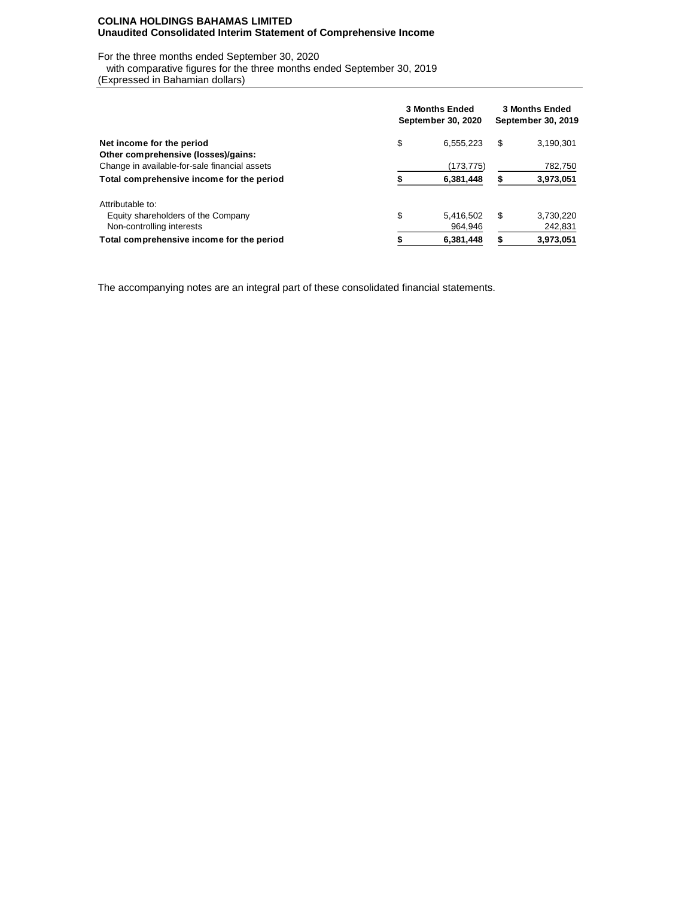### **COLINA HOLDINGS BAHAMAS LIMITED Unaudited Consolidated Interim Statement of Comprehensive Income**

For the three months ended September 30, 2020

with comparative figures for the three months ended September 30, 2019

(Expressed in Bahamian dollars)

|                                               | <b>3 Months Ended</b><br>September 30, 2020 | <b>3 Months Ended</b><br>September 30, 2019 |    |           |  |
|-----------------------------------------------|---------------------------------------------|---------------------------------------------|----|-----------|--|
| Net income for the period                     | \$                                          | 6,555,223                                   | \$ | 3,190,301 |  |
| Other comprehensive (losses)/gains:           |                                             |                                             |    |           |  |
| Change in available-for-sale financial assets |                                             | (173,775)                                   |    | 782,750   |  |
| Total comprehensive income for the period     |                                             | 6,381,448                                   |    | 3,973,051 |  |
| Attributable to:                              |                                             |                                             |    |           |  |
| Equity shareholders of the Company            | \$                                          | 5.416.502                                   | \$ | 3,730,220 |  |
| Non-controlling interests                     |                                             | 964.946                                     |    | 242,831   |  |
| Total comprehensive income for the period     |                                             | 6,381,448                                   |    | 3,973,051 |  |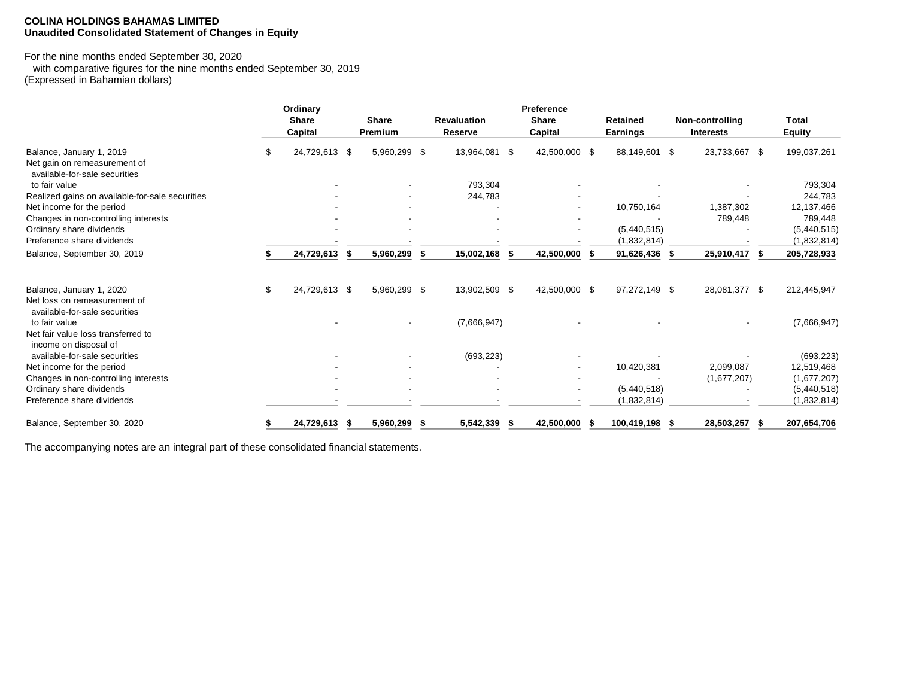## **COLINA HOLDINGS BAHAMAS LIMITED Unaudited Consolidated Statement of Changes in Equity**

# For the nine months ended September 30, 2020

 with comparative figures for the nine months ended September 30, 2019 (Expressed in Bahamian dollars)

|                                                                                           | Ordinary<br><b>Share</b><br>Capital | <b>Share</b><br>Premium |      | <b>Revaluation</b><br>Reserve |      | Preference<br><b>Share</b><br>Capital | <b>Retained</b><br>Earnings |      | Non-controlling<br><b>Interests</b> |      | <b>Total</b><br><b>Equity</b> |
|-------------------------------------------------------------------------------------------|-------------------------------------|-------------------------|------|-------------------------------|------|---------------------------------------|-----------------------------|------|-------------------------------------|------|-------------------------------|
| Balance, January 1, 2019<br>Net gain on remeasurement of<br>available-for-sale securities | 24,729,613 \$                       | 5,960,299 \$            |      | 13,964,081 \$                 |      | 42,500,000 \$                         | 88,149,601                  | -\$  | 23,733,667 \$                       |      | 199,037,261                   |
| to fair value                                                                             |                                     |                         |      | 793,304                       |      |                                       |                             |      |                                     |      | 793,304                       |
| Realized gains on available-for-sale securities                                           |                                     |                         |      | 244.783                       |      |                                       |                             |      |                                     |      | 244,783                       |
| Net income for the period                                                                 |                                     |                         |      |                               |      |                                       | 10,750,164                  |      | 1,387,302                           |      | 12,137,466                    |
| Changes in non-controlling interests                                                      |                                     |                         |      |                               |      |                                       |                             |      | 789,448                             |      | 789,448                       |
| Ordinary share dividends                                                                  |                                     |                         |      |                               |      |                                       | (5,440,515)                 |      |                                     |      | (5,440,515)                   |
| Preference share dividends                                                                |                                     |                         |      |                               |      |                                       | (1,832,814)                 |      |                                     |      | (1,832,814)                   |
| Balance, September 30, 2019                                                               | 24,729,613                          | 5,960,299               | - \$ | 15,002,168                    | - \$ | 42,500,000                            | 91,626,436                  | - \$ | 25,910,417 \$                       |      | 205,728,933                   |
| Balance, January 1, 2020<br>Net loss on remeasurement of                                  | \$<br>24,729,613 \$                 | 5,960,299 \$            |      | 13,902,509 \$                 |      | 42,500,000 \$                         | 97,272,149 \$               |      | 28,081,377 \$                       |      | 212,445,947                   |
| available-for-sale securities<br>to fair value                                            |                                     |                         |      | (7,666,947)                   |      |                                       |                             |      |                                     |      | (7,666,947)                   |
| Net fair value loss transferred to<br>income on disposal of                               |                                     |                         |      |                               |      |                                       |                             |      |                                     |      |                               |
| available-for-sale securities                                                             |                                     |                         |      | (693, 223)                    |      |                                       |                             |      |                                     |      | (693, 223)                    |
| Net income for the period                                                                 |                                     |                         |      |                               |      |                                       | 10,420,381                  |      | 2,099,087                           |      | 12,519,468                    |
| Changes in non-controlling interests                                                      |                                     |                         |      |                               |      |                                       |                             |      | (1,677,207)                         |      | (1,677,207)                   |
| Ordinary share dividends                                                                  |                                     |                         |      |                               |      |                                       | (5,440,518)                 |      |                                     |      | (5,440,518)                   |
| Preference share dividends                                                                |                                     |                         |      |                               |      |                                       | (1,832,814)                 |      |                                     |      | (1,832,814)                   |
| Balance, September 30, 2020                                                               | 24,729,613                          | 5,960,299               | - \$ | 5,542,339                     | - \$ | 42,500,000                            | 100,419,198                 | - 5  | 28,503,257                          | - 55 | 207,654,706                   |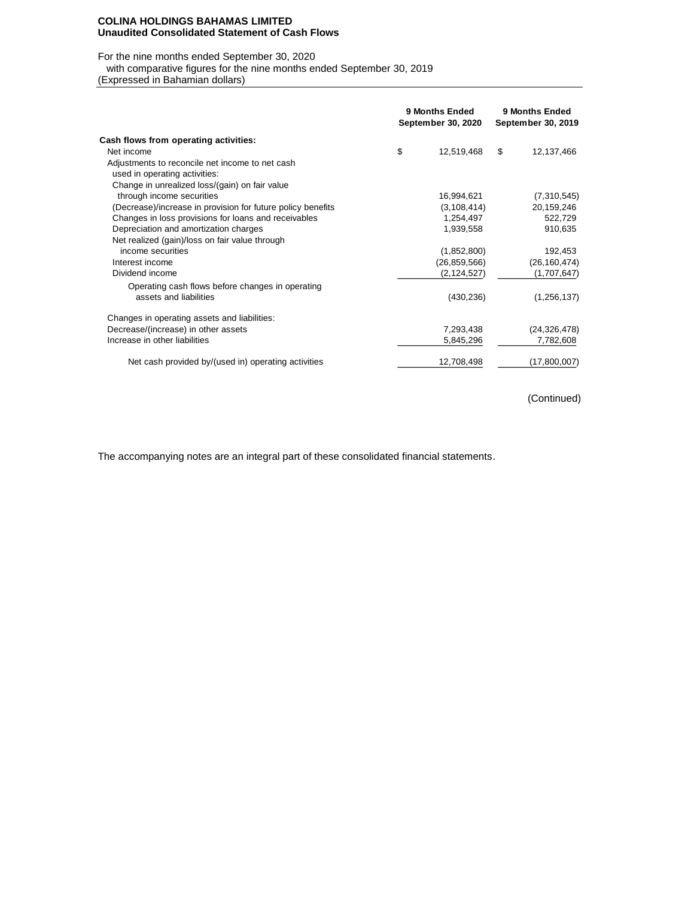#### **COLINA HOLDINGS BAHAMAS LIMITED Unaudited Consolidated Statement of Cash Flows**

For the nine months ended September 30, 2020

with comparative figures for the nine months ended September 30, 2019

(Expressed in Bahamian dollars)

|                                                             | 9 Months Ended<br>September 30, 2020 |                | 9 Months Ended<br>September 30, 2019 |
|-------------------------------------------------------------|--------------------------------------|----------------|--------------------------------------|
| Cash flows from operating activities:                       |                                      |                |                                      |
| Net income                                                  | \$                                   | 12,519,468     | \$<br>12,137,466                     |
| Adjustments to reconcile net income to net cash             |                                      |                |                                      |
| used in operating activities:                               |                                      |                |                                      |
| Change in unrealized loss/(gain) on fair value              |                                      |                |                                      |
| through income securities                                   |                                      | 16,994,621     | (7,310,545)                          |
| (Decrease)/increase in provision for future policy benefits |                                      | (3, 108, 414)  | 20,159,246                           |
| Changes in loss provisions for loans and receivables        |                                      | 1,254,497      | 522,729                              |
| Depreciation and amortization charges                       |                                      | 1,939,558      | 910,635                              |
| Net realized (gain)/loss on fair value through              |                                      |                |                                      |
| income securities                                           |                                      | (1,852,800)    | 192,453                              |
| Interest income                                             |                                      | (26, 859, 566) | (26, 160, 474)                       |
| Dividend income                                             |                                      | (2, 124, 527)  | (1,707,647)                          |
| Operating cash flows before changes in operating            |                                      |                |                                      |
| assets and liabilities                                      |                                      | (430, 236)     | (1, 256, 137)                        |
| Changes in operating assets and liabilities:                |                                      |                |                                      |
| Decrease/(increase) in other assets                         |                                      | 7,293,438      | (24, 326, 478)                       |
| Increase in other liabilities                               |                                      | 5,845,296      | 7,782,608                            |
| Net cash provided by/(used in) operating activities         |                                      | 12,708,498     | (17,800,007)                         |

(Continued)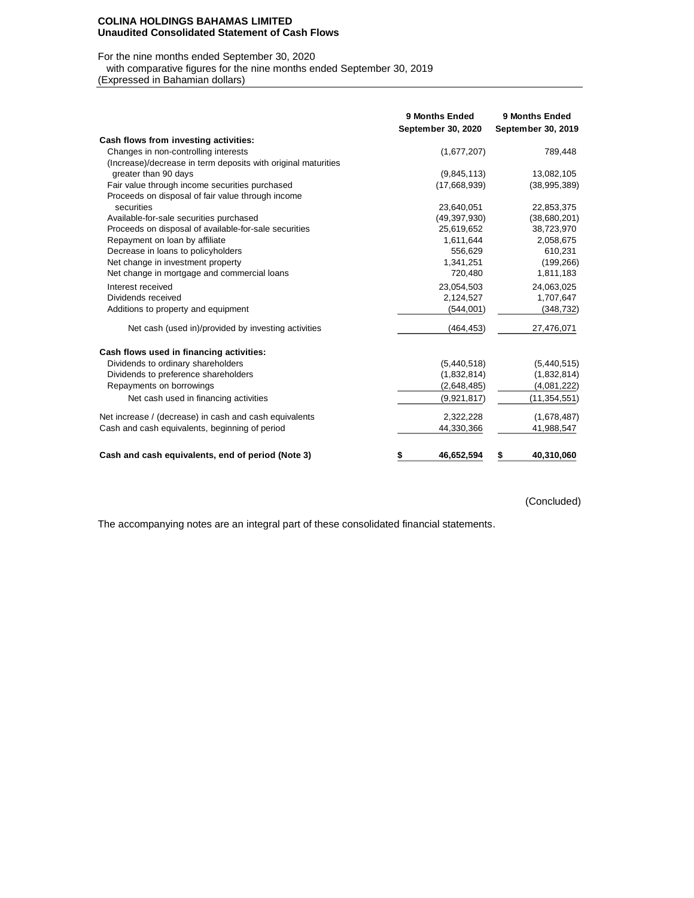#### **COLINA HOLDINGS BAHAMAS LIMITED Unaudited Consolidated Statement of Cash Flows**

## For the nine months ended September 30, 2020

with comparative figures for the nine months ended September 30, 2019

(Expressed in Bahamian dollars)

|                                                               | 9 Months Ended<br>September 30, 2020 | 9 Months Ended<br>September 30, 2019 |
|---------------------------------------------------------------|--------------------------------------|--------------------------------------|
| Cash flows from investing activities:                         |                                      |                                      |
| Changes in non-controlling interests                          | (1,677,207)                          | 789,448                              |
| (Increase)/decrease in term deposits with original maturities |                                      |                                      |
| greater than 90 days                                          | (9,845,113)                          | 13,082,105                           |
| Fair value through income securities purchased                | (17,668,939)                         | (38,995,389)                         |
| Proceeds on disposal of fair value through income             |                                      |                                      |
| securities                                                    | 23,640,051                           | 22,853,375                           |
| Available-for-sale securities purchased                       | (49, 397, 930)                       | (38,680,201)                         |
| Proceeds on disposal of available-for-sale securities         | 25,619,652                           | 38,723,970                           |
| Repayment on loan by affiliate                                | 1,611,644                            | 2,058,675                            |
| Decrease in loans to policyholders                            | 556,629                              | 610,231                              |
| Net change in investment property                             | 1,341,251                            | (199, 266)                           |
| Net change in mortgage and commercial loans                   | 720,480                              | 1,811,183                            |
| Interest received                                             | 23,054,503                           | 24,063,025                           |
| Dividends received                                            | 2,124,527                            | 1,707,647                            |
| Additions to property and equipment                           | (544,001)                            | (348, 732)                           |
| Net cash (used in)/provided by investing activities           | (464, 453)                           | 27,476,071                           |
| Cash flows used in financing activities:                      |                                      |                                      |
| Dividends to ordinary shareholders                            | (5,440,518)                          | (5,440,515)                          |
| Dividends to preference shareholders                          | (1,832,814)                          | (1,832,814)                          |
| Repayments on borrowings                                      | (2,648,485)                          | (4,081,222)                          |
| Net cash used in financing activities                         | (9,921,817)                          | (11, 354, 551)                       |
| Net increase / (decrease) in cash and cash equivalents        | 2,322,228                            | (1,678,487)                          |
| Cash and cash equivalents, beginning of period                | 44,330,366                           | 41,988,547                           |
| Cash and cash equivalents, end of period (Note 3)             | \$<br>46,652,594                     | 40,310,060<br>\$                     |

# (Concluded)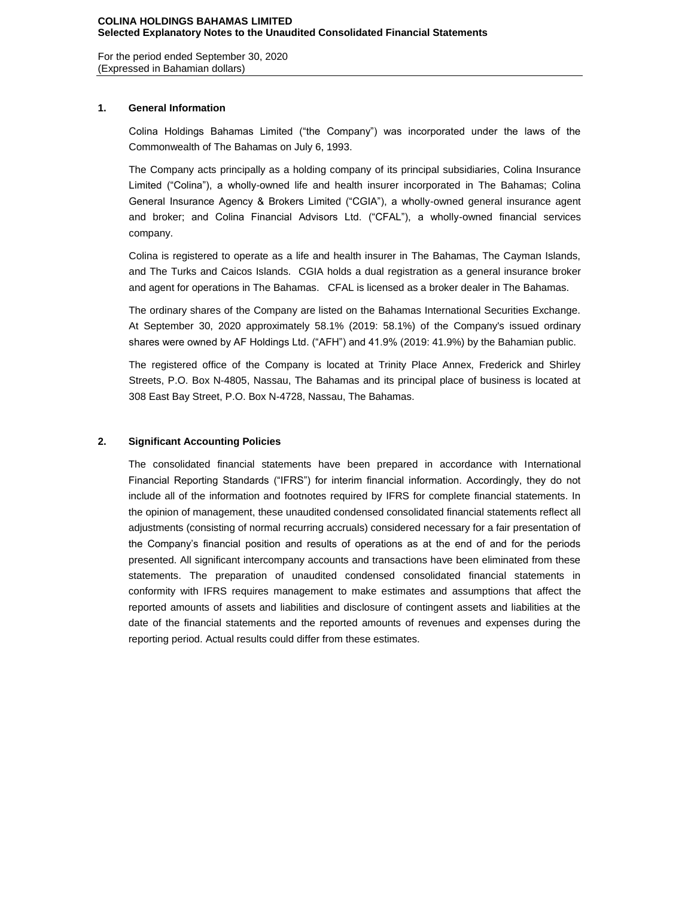For the period ended September 30, 2020 (Expressed in Bahamian dollars)

### **1. General Information**

Colina Holdings Bahamas Limited ("the Company") was incorporated under the laws of the Commonwealth of The Bahamas on July 6, 1993.

The Company acts principally as a holding company of its principal subsidiaries, Colina Insurance Limited ("Colina"), a wholly-owned life and health insurer incorporated in The Bahamas; Colina General Insurance Agency & Brokers Limited ("CGIA"), a wholly-owned general insurance agent and broker; and Colina Financial Advisors Ltd. ("CFAL"), a wholly-owned financial services company.

Colina is registered to operate as a life and health insurer in The Bahamas, The Cayman Islands, and The Turks and Caicos Islands. CGIA holds a dual registration as a general insurance broker and agent for operations in The Bahamas. CFAL is licensed as a broker dealer in The Bahamas.

The ordinary shares of the Company are listed on the Bahamas International Securities Exchange. At September 30, 2020 approximately 58.1% (2019: 58.1%) of the Company's issued ordinary shares were owned by AF Holdings Ltd. ("AFH") and 41.9% (2019: 41.9%) by the Bahamian public.

The registered office of the Company is located at Trinity Place Annex, Frederick and Shirley Streets, P.O. Box N-4805, Nassau, The Bahamas and its principal place of business is located at 308 East Bay Street, P.O. Box N-4728, Nassau, The Bahamas.

## **2. Significant Accounting Policies**

The consolidated financial statements have been prepared in accordance with International Financial Reporting Standards ("IFRS") for interim financial information. Accordingly, they do not include all of the information and footnotes required by IFRS for complete financial statements. In the opinion of management, these unaudited condensed consolidated financial statements reflect all adjustments (consisting of normal recurring accruals) considered necessary for a fair presentation of the Company's financial position and results of operations as at the end of and for the periods presented. All significant intercompany accounts and transactions have been eliminated from these statements. The preparation of unaudited condensed consolidated financial statements in conformity with IFRS requires management to make estimates and assumptions that affect the reported amounts of assets and liabilities and disclosure of contingent assets and liabilities at the date of the financial statements and the reported amounts of revenues and expenses during the reporting period. Actual results could differ from these estimates.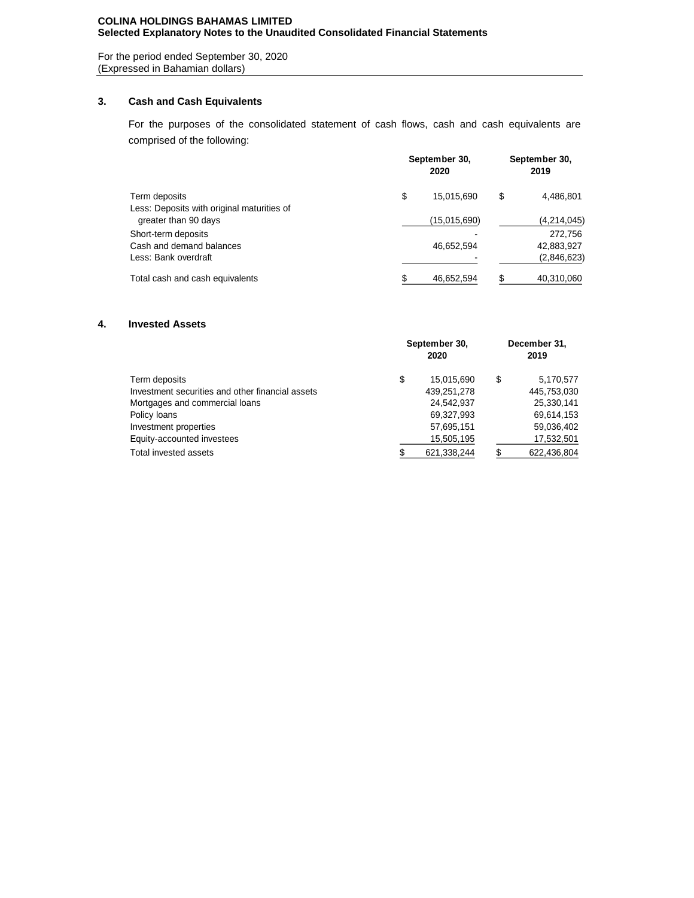## **COLINA HOLDINGS BAHAMAS LIMITED Selected Explanatory Notes to the Unaudited Consolidated Financial Statements**

For the period ended September 30, 2020 (Expressed in Bahamian dollars)

## **3. Cash and Cash Equivalents**

For the purposes of the consolidated statement of cash flows, cash and cash equivalents are comprised of the following:

| Term deposits                              | September 30,<br>2020 |              |    | September 30,<br>2019 |  |  |
|--------------------------------------------|-----------------------|--------------|----|-----------------------|--|--|
|                                            | \$                    | 15,015,690   | S  | 4,486,801             |  |  |
| Less: Deposits with original maturities of |                       |              |    |                       |  |  |
| greater than 90 days                       |                       | (15,015,690) |    | (4,214,045)           |  |  |
| Short-term deposits                        |                       |              |    | 272,756               |  |  |
| Cash and demand balances                   |                       | 46,652,594   |    | 42,883,927            |  |  |
| Less: Bank overdraft                       |                       |              |    | (2,846,623)           |  |  |
| Total cash and cash equivalents            |                       | 46,652,594   | £. | 40,310,060            |  |  |

## **4. Invested Assets**

| Term deposits                                    | September 30,<br>2020 |             |    | December 31,<br>2019 |  |  |
|--------------------------------------------------|-----------------------|-------------|----|----------------------|--|--|
|                                                  | \$                    | 15,015,690  | \$ | 5,170,577            |  |  |
| Investment securities and other financial assets |                       | 439,251,278 |    | 445,753,030          |  |  |
| Mortgages and commercial loans                   |                       | 24,542,937  |    | 25,330,141           |  |  |
| Policy loans                                     |                       | 69,327,993  |    | 69,614,153           |  |  |
| Investment properties                            |                       | 57,695,151  |    | 59,036,402           |  |  |
| Equity-accounted investees                       |                       | 15,505,195  |    | 17,532,501           |  |  |
| Total invested assets                            |                       | 621,338,244 |    | 622,436,804          |  |  |